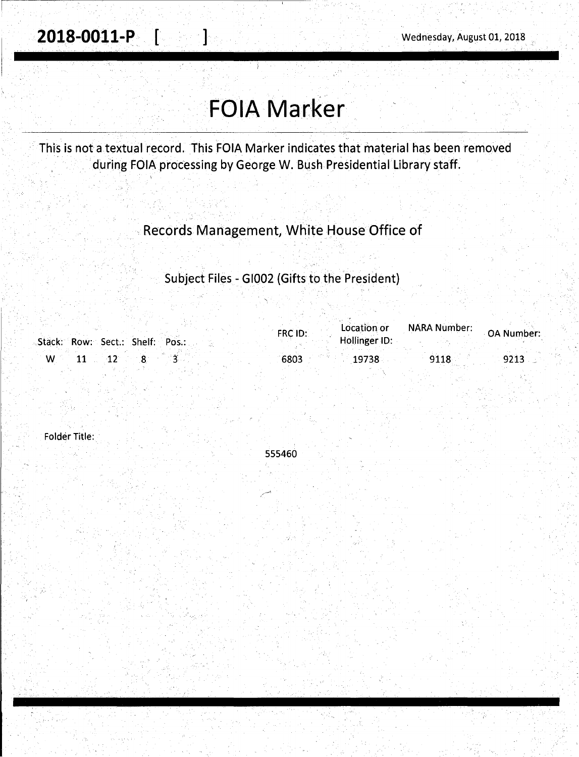## **FOIA Marker**

This is not a textual record. This FOIA Marker indicates that material has been removed during FOIA processing by George W. Bush Presidential Library staff.

## Records Management, White House Office of

## Subject Files - Gl002 (Gifts to the President)

|                                 | FRC ID: | Location or   | NARA Number: | <b>OA Number:</b> |
|---------------------------------|---------|---------------|--------------|-------------------|
| Stack: Row: Sect.: Shelf: Pos.: |         | Hollinger ID: |              |                   |
| W                               | 6803    | 19738         | 9118         | 9213              |

Folder Title:

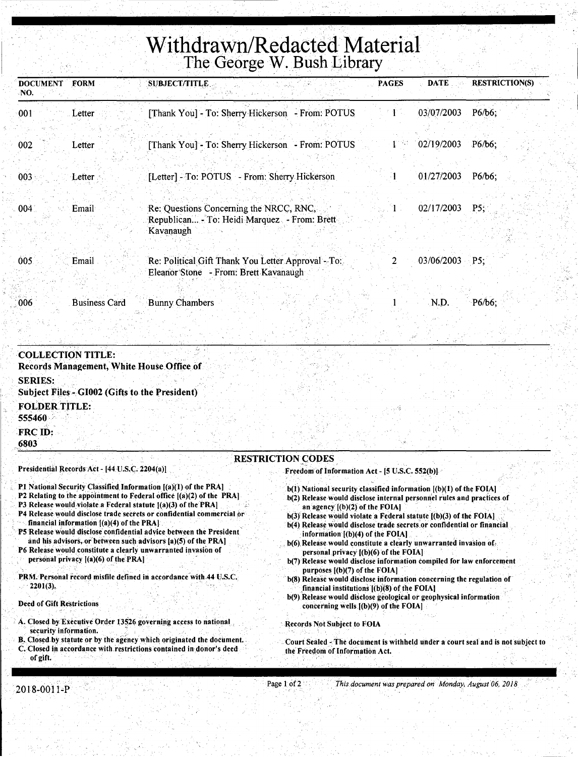## **Withdrawn/Redacted Material**  The George W. Bush Library

| <b>DOCUMENT</b><br>NO. | <b>FORM</b>          | <b>SUBJECT/TITLE</b>                                                                                 | <b>PAGES</b>               | <b>DATE</b><br><b>RESTRICTION(S)</b> |  |
|------------------------|----------------------|------------------------------------------------------------------------------------------------------|----------------------------|--------------------------------------|--|
| 001                    | Letter               | [Thank You] - To: Sherry Hickerson<br>- From: POTUS                                                  |                            | 03/07/2003<br>P6/b6                  |  |
| 002                    | Letter               | [Thank You] - To: Sherry Hickerson - From: POTUS                                                     | $\mathbf{1} \rightarrow 0$ | 02/19/2003<br>P6/b6;                 |  |
| 003                    | Letter               | [Letter] - To: POTUS - From: Sherry Hickerson                                                        |                            | 01/27/2003<br>$P6/b6$ ;              |  |
| $004^{\circ}$          | Email                | Re: Questions Concerning the NRCC, RNC,<br>Republican - To: Heidi Marquez - From: Brett<br>Kavanaugh |                            | 02/17/2003<br>$P5$ ;                 |  |
| 005                    | Email                | Re: Political Gift Thank You Letter Approval - To:<br>Eleanor Stone - From: Brett Kavanaugh          |                            | 03/06/2003<br>P5:                    |  |
| 006                    | <b>Business Card</b> | <b>Bunny Chambers</b>                                                                                |                            | P6/b6;<br>N.D.                       |  |

#### COLLECTION TITLE: Records Management, White House Office of SERIES: Subject Files - GI002 (Gifts to the President) FOLDER TITLE: 555460 FRC ID: 6803 RESTRICTION CODES Presidential Records Act - [44 U.S.C. 2204(a)] P1 National Security Classified Information [(a)(1) of the PRA] Freedom of Information Act -  $[5$  U.S.C. 552(b)]

- P2 Relating to the appointment to Federal office [(a)(2) of the PRA]
- P3 Release would violate a Federal statute  $[(a)(3)$  of the PRA]
- P4 Release would disclose trade secrets or confidential commercial or financial information  $[(a)(4)$  of the PRA]
- P5 Release would disclose confidential advice between the President and his advisors, or betWeen such advisors [a)(S) of the PRA)
- P6 Release would constitute a clearly unwarranted invasion of personal privacy  $[(a)(6)$  of the PRA]
- PRM. Personal record misfile defined in accordance with.44 U.S.C. . 2201(3).

#### Deed of Gift Restrictions

ļ,

- A. Closed by Executive Order 13526 governing access to national security information.
- B. Closed by statute or by the agency which originated the document. Closed in accordance with restrictions contained in donor's deed
- of gift.
- $b(1)$  National security classified information  $[(b)(1)$  of the FOIA] b(2) Release would disclose internal personnel rules and practices of
- an agency  $[(b)(2)$  of the FOIA]
- $b(3)$  Release would violate a Federal statute  $[(b)(3)$  of the FOIA]
- b(4) Release would disclose trade secrets or confidential or financial information [(b)(4) of the FOIA)
- $b(6)$ . Release would constitute a clearly unwarranted invasion of. personal privacy  $[(b)(6)$  of the FOIA]
- b(7) Release would disclose information compiled for law enforcement purposes  $[(b)(7)$  of the FOIA]
- b(8) Release would disclose information concerning the regulation of financial institutions ((b)(8) of the FOIA)
- b(9) Release would disclose geological or geophysical information concerning wells [(b)(9) of the FOIA]

#### Records Not Subject to FOIA

Court Sealed •The document is withheld under a court seal and is not subject to the Freedom of Information Act.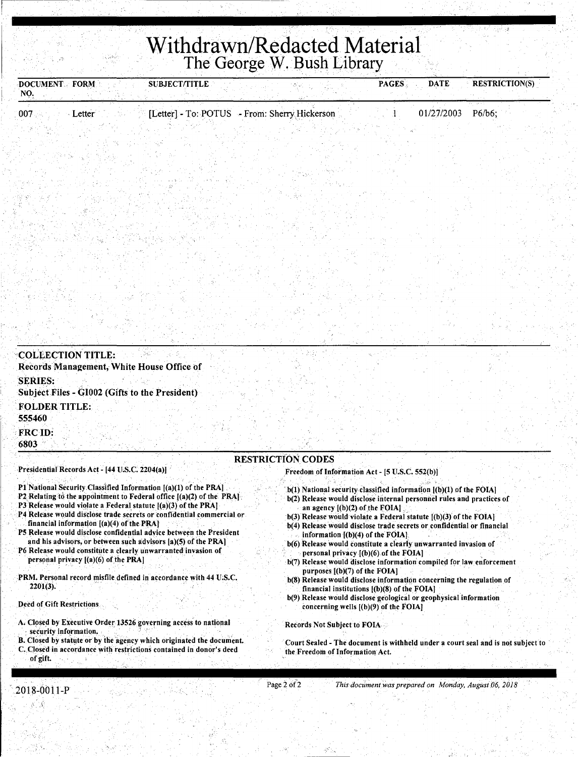# Withdrawn/Redacted Material<br>The George W. Bush Library

| DOCUMENT FORM<br>NO.                   |                                                                                    | <b>SUBJECT/TITLE</b>                                                                                                                                                                                                                                                                                                                                                                                                                                                                              |                                                                            | <b>DATE</b><br><b>PAGES</b>                                                                                                                                                                                                                                                                                                                                                                                                                                                    | <b>RESTRICTION(S)</b> |
|----------------------------------------|------------------------------------------------------------------------------------|---------------------------------------------------------------------------------------------------------------------------------------------------------------------------------------------------------------------------------------------------------------------------------------------------------------------------------------------------------------------------------------------------------------------------------------------------------------------------------------------------|----------------------------------------------------------------------------|--------------------------------------------------------------------------------------------------------------------------------------------------------------------------------------------------------------------------------------------------------------------------------------------------------------------------------------------------------------------------------------------------------------------------------------------------------------------------------|-----------------------|
| 007                                    | - Letter                                                                           |                                                                                                                                                                                                                                                                                                                                                                                                                                                                                                   | [Letter] - To: POTUS - From: Sherry Hickerson                              | 01/27/2003                                                                                                                                                                                                                                                                                                                                                                                                                                                                     | P6/b6;                |
|                                        |                                                                                    |                                                                                                                                                                                                                                                                                                                                                                                                                                                                                                   |                                                                            |                                                                                                                                                                                                                                                                                                                                                                                                                                                                                |                       |
|                                        |                                                                                    |                                                                                                                                                                                                                                                                                                                                                                                                                                                                                                   |                                                                            |                                                                                                                                                                                                                                                                                                                                                                                                                                                                                |                       |
|                                        |                                                                                    |                                                                                                                                                                                                                                                                                                                                                                                                                                                                                                   |                                                                            |                                                                                                                                                                                                                                                                                                                                                                                                                                                                                |                       |
|                                        |                                                                                    |                                                                                                                                                                                                                                                                                                                                                                                                                                                                                                   |                                                                            |                                                                                                                                                                                                                                                                                                                                                                                                                                                                                |                       |
|                                        |                                                                                    |                                                                                                                                                                                                                                                                                                                                                                                                                                                                                                   |                                                                            |                                                                                                                                                                                                                                                                                                                                                                                                                                                                                |                       |
| <b>COLLECTION TITLE:</b>               | Records Management, White House Office of                                          |                                                                                                                                                                                                                                                                                                                                                                                                                                                                                                   |                                                                            |                                                                                                                                                                                                                                                                                                                                                                                                                                                                                |                       |
| <b>SERIES:</b>                         | Subject Files - GI002 (Gifts to the President)                                     |                                                                                                                                                                                                                                                                                                                                                                                                                                                                                                   |                                                                            |                                                                                                                                                                                                                                                                                                                                                                                                                                                                                |                       |
| <b>FOLDER TITLE:</b><br>555460         |                                                                                    |                                                                                                                                                                                                                                                                                                                                                                                                                                                                                                   |                                                                            |                                                                                                                                                                                                                                                                                                                                                                                                                                                                                |                       |
| FRC ID:<br>6803                        |                                                                                    |                                                                                                                                                                                                                                                                                                                                                                                                                                                                                                   |                                                                            |                                                                                                                                                                                                                                                                                                                                                                                                                                                                                |                       |
|                                        | Presidential Records Act - [44 U.S.C. 2204(a)]                                     |                                                                                                                                                                                                                                                                                                                                                                                                                                                                                                   | <b>RESTRICTION CODES</b><br>Freedom of Information Act - [5 U.S.C. 552(b)] |                                                                                                                                                                                                                                                                                                                                                                                                                                                                                |                       |
|                                        | financial information $[(a)(4)$ of the PRA<br>personal privacy [(a)(6) of the PRA] | P1 National Security Classified Information [(a)(1) of the PRA].<br>P2 Relating to the appointment to Federal office $[(a)(2)$ of the PRA].<br>P3 Release would violate a Federal statute $[(a)(3)$ of the PRA]<br>P4 Release would disclose trade secrets or confidential commercial or<br>P5 Release would disclose confidential advice between the President<br>and his advisors, or between such advisors [a)(5) of the PRA]<br>P6 Release would constitute a clearly unwarranted invasion of | an agency $[(b)(2)$ of the FOIA].<br>information $[(b)(4)$ of the FOIA].   | b(1) National security classified information [(b)(1) of the FOIA]<br>b(2) Release would disclose internal personnel rules and practices of<br>b(3) Release would violate a Federal statute [(b)(3) of the FOIA]<br>b(4) Release would disclose trade secrets or confidential or financial<br>b(6) Release would constitute a clearly unwarranted invasion of<br>personal privacy ((b)(6) of the FOIA]<br>b(7) Release would disclose information compiled for law enforcement |                       |
| 2201(3).<br>Deed of Gift Restrictions. |                                                                                    | PRM. Personal record misfile defined in accordance with 44 U.S.C.                                                                                                                                                                                                                                                                                                                                                                                                                                 | purposes $[(b)(7)$ of the FOIA]                                            | b(8) Release would disclose information concerning the regulation of<br>financial institutions [(b)(8) of the FOIA]<br>b(9) Release would disclose geological or geophysical information<br>concerning wells $[(b)(9)$ of the FOIA]                                                                                                                                                                                                                                            |                       |
| security information.                  |                                                                                    | A. Closed by Executive Order 13526 governing access to national                                                                                                                                                                                                                                                                                                                                                                                                                                   | Records Not Subject to FOIA                                                |                                                                                                                                                                                                                                                                                                                                                                                                                                                                                |                       |
|                                        |                                                                                    | B. Closed by statute or by the agency which originated the document.<br>C. Closed in accordance with restrictions contained in donor's deed                                                                                                                                                                                                                                                                                                                                                       | the Freedom of Information Act.                                            | Court Sealed - The document is withheld under a court seal and is not subject to                                                                                                                                                                                                                                                                                                                                                                                               |                       |
| of gift.                               |                                                                                    |                                                                                                                                                                                                                                                                                                                                                                                                                                                                                                   |                                                                            |                                                                                                                                                                                                                                                                                                                                                                                                                                                                                |                       |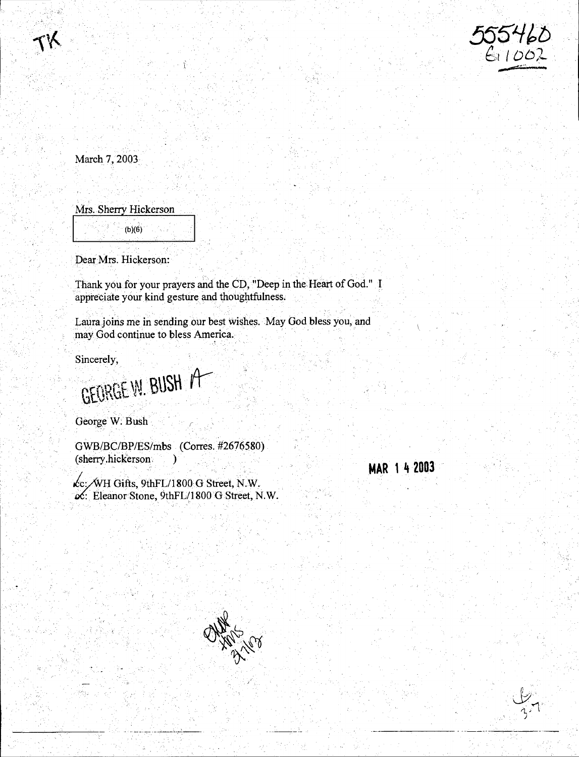

March 7, 2003

. . . Mrs. Sherry Hickerson

 $\begin{bmatrix} 1 & 0 \\ 0 & 0 \end{bmatrix}$  (b)(6)

Dear Mrs. Hickerson:

Thank you for your prayers and the CD, "Deep in the Heart of God." I appreciate your kind gesture and thoughtfulness.

Laura joins me in sending our best wishes. May God bless you, and may God continue to bless America. .

Sincerely;

GEORGE W. BUSH A

George W. Bush

GWB/BC/BP/ES/mbs (Corres. #2676580) (sherry.hickerson.)

 $k$ c: WH Gifts, 9thFL/1800 G Street, N.W. oc. Eleanor Stone, 9thFL/1800 G Street, N.W.





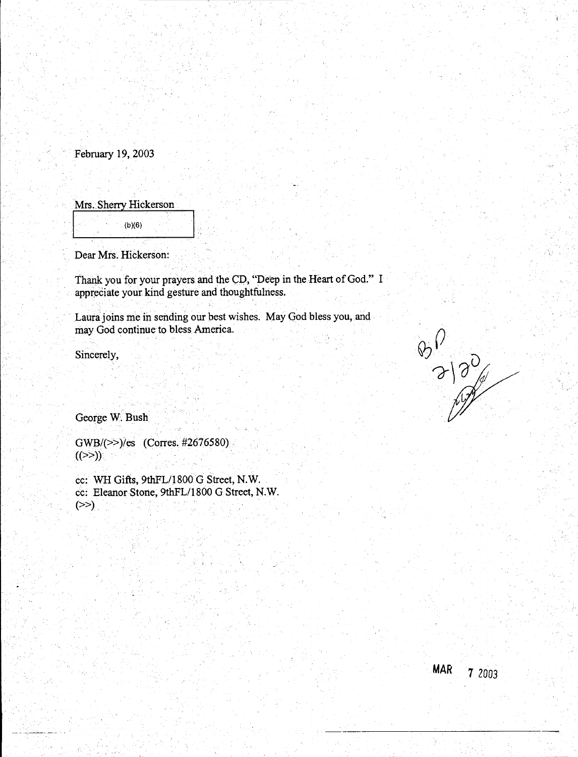February 19, 2003

Mrs. Sherry Hickerson

 $\begin{bmatrix} 1 & 0 & 0 \\ 0 & 0 & 0 \\ 0 & 0 & 0 \end{bmatrix}$ 

Dear Mrs. Hickerson:

Thank you for your prayers and the CD, "Deep in the Heart of God." I appreciate your kind gesture and thoughtfulness.

Laura joins me in sending our best wishes. May Qod bless you, and may God continue to bless America.

Sincerely,

George W. Bush

 $GWB/(>>)/es$  (Corres. #2676580).  $((\ge)$ )

cc: WH Gifts, 9thFL/1800 G Street, N.W. cc: Eleanor Stone, 9thFL/1800 G Street, N.W.  $(\gg)$ 

**MAR** 7 2003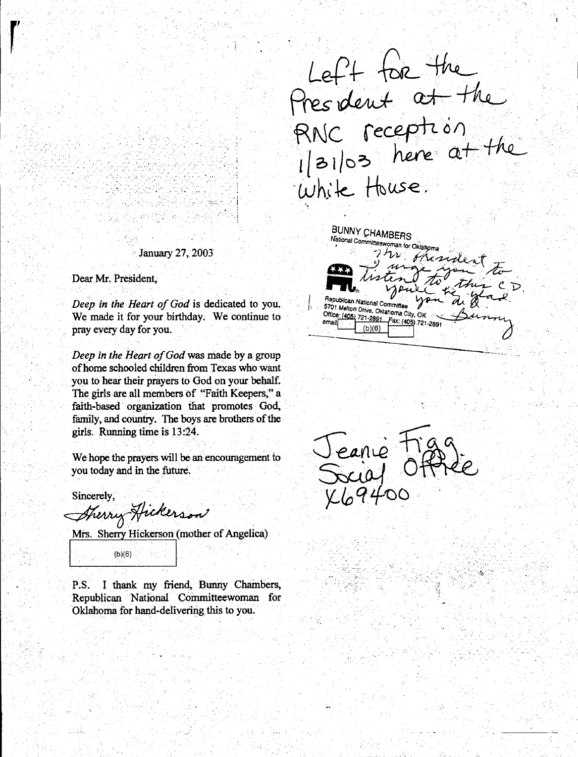Left for the<br>President at the<br>RNC reception<br>Unite thuse.

January  $27, 2003$ 

Dear Mr. President.

Deep in the Heart of God is dedicated to you. We made it for your birthday. We continue to pray every day for you.

Deep in the Heart of God was made by a group of home schooled children from Texas who want you to hear their prayers to God on your behalf. The girls are all members of "Faith Keepers," a faith-based organization that promotes God, family, and country. The boys are brothers of the girls. Running time is 13:24.

We hope the prayers will be an encouragement to you today and in the future.

Sincerely.

Sherry Hickerson

Mrs. Sherry Hickerson (mother of Angelica)

 $(b)(6)$ 

P.S. I thank my friend, Bunny Chambers, Republican National Committeewoman for Oklahoma for hand-delivering this to you.

**BUNNY CHAMBERS** National Committeewoman for Oklahoma thesid Republican National Committee 5701 Melton Drive, Oklahoma City, OK Office: (405) 721-2891 Fax: (405) 721-2891  $(b)(6)$ 

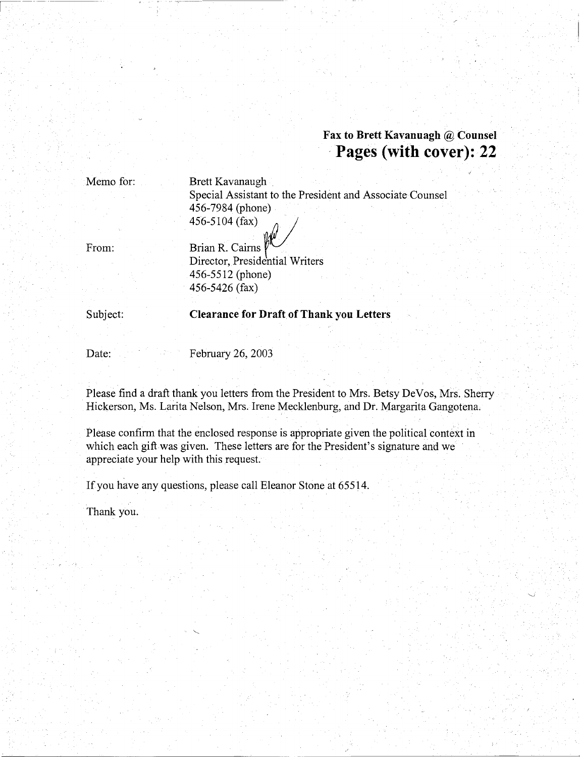### **Fax to Brett Kavanuagh @ Counsel**  , **Pages (with cover): 22**

Memo for:

~---·

Brett Kavanaugh Special Assistant to the President and Associate Counsel 456-7984 (phone) Brett Kavanaugh<br>Special Assistant to the Pre<br>456-7984 (phone)<br>456-5104 (fax)

From:

Brian R. Cairns Director, Presidential Writers 456-5512 (phone) 456-5426 (fax)

Subject:

**Clearance for Draft of Thank you Letters** 

Date:

February 26, 2003

Please find a draft thank you letters from the President to Mrs. Betsy DeVos, Mrs. Sherry Hickerson, Ms. Larita Nelson, Mrs. Irene Mecklenburg, and Dr. Margarita Gangotena.

Please confirm that the enclosed response is appropriate given the political context in which each gift was given. These letters are for the President's signature and we appreciate your help with this request.

If you have any questions, please call Eleanor Stone at 65514.

Thank you.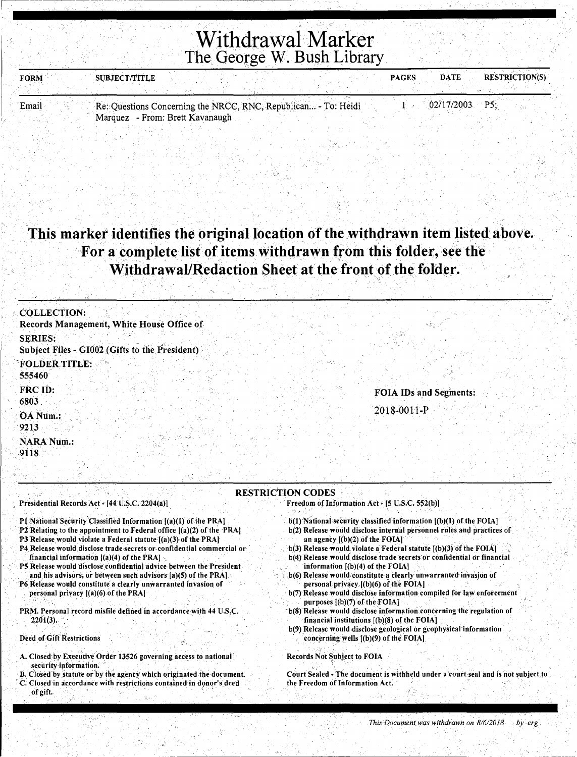## Withdrawal Marker The George W. Bush Library

| <b>FORM</b> | <b>SUBJECT/TITLE</b> |                                                                |  | <b>PAGES</b> | <b>DATE</b>      | <b>RESTRICTION(S)</b> |
|-------------|----------------------|----------------------------------------------------------------|--|--------------|------------------|-----------------------|
|             |                      |                                                                |  |              |                  |                       |
| Email       |                      | Re: Questions Concerning the NRCC, RNC, Republican - To: Heidi |  |              | $02/17/2003$ P5: |                       |

 $E$ mail Res:  $R$ e: Questions Concerning the NRCC, RNC, Republican Marquez - From: Brett. Kavanaugh

## This marker identifies the original location of the withdrawn item listed above. For a complete list of items withdrawn from this folder, see the Withdrawal/Redaction Sheet at the front of the folder.

i. 그 연기 시키는 그 사람들은 사람이 되지 않은 것 같은데, 어떻는 것 같은 것 같은 것 같아. 그 그는 그 사람이 있는 것 같

| <b>COLLECTION:</b>                                               |                               |
|------------------------------------------------------------------|-------------------------------|
| Records Management, White House Office of                        |                               |
| <b>SERIES:</b><br>Subject Files - GI002 (Gifts to the President) |                               |
| <b>FOLDER TITLE:</b><br>555460                                   |                               |
| FRC ID:<br>6803                                                  | <b>FOIA IDs and Segments:</b> |
| OA Num.:                                                         | 2018-0011-P                   |
| 9213<br><b>NARA Num.:</b>                                        |                               |
| .9118.                                                           |                               |

#### Presidential Records Act - [44. U.S.C. 2204(a)]

#### P1 National Security Classified Information [(a)(1) of the PRA]

. .

. P2 Relating to the appointment to Federal office [(a)(2) of the PRAJ

 $\lambda$ r i  $\sim$  . The  $\lambda$ 

- P3 Release would violate a Federal statute [(a)(3) of the PRA]
- P4 Release would disclose trade secrets or confidential commercial or financial information  $[(a)(4)$  of the PRA]
- P5 Release would disclose confidential advice between the President and his advisors, or between such advisors [a)(5) of the PRA].
- P6 Release would constitute a clearly unwarranted invasion of personal privacy  $[(a)(6)$  of the PRA]
- PRM. Personal record misfile defined in accordance with 44 U.S.C.  $2201(3)$ .

#### Deed of Gift Restrictions

~----. • - .. ----c----

- A. Closed by Executive Order 13526 governing access to national security information.
- B. Closed by statute or by the agency which originated the document. C. Closed in accordance with restrictions contained in donor's deed of gift.

#### RESTRICTION CODES

Freedom of Information Act - [5 U.S.C. 552(b)]

- b(l) National security classified information [(b)(l) of the FOIA] b(2) Release would disclose internal personnel rules and practices of
- an agency  $[(b)(2)$  of the FOIA]
- $b(3)$  Release would violate a Federal statute  $I(b)(3)$  of the FOIA] b(4) Release would disclose trade secrets or confidential or financial
- information  $[(b)(4)$  of the FOIA]
- b(6) Release would constitute a clearly unwarranted invasion of personal privacy. [(b)(6) of the FOIA]
- b(7) Release would disclose information compiled for law enforcement purposes  $[(b)(7)$  of the FOIA]
- · b(8) Release would disclose information concerning the regulation of financial institutions  $[(b)(8)$  of the FOIA]
- b(9) Release would disclose geological or geophysicalinformation concerning wells  $[(b)(9)$  of the FOIA]

#### **Records Not Subject to FOIA**

Court Sealed - The document is withheld under a court seal and is not subject to the Freedom of Information Act.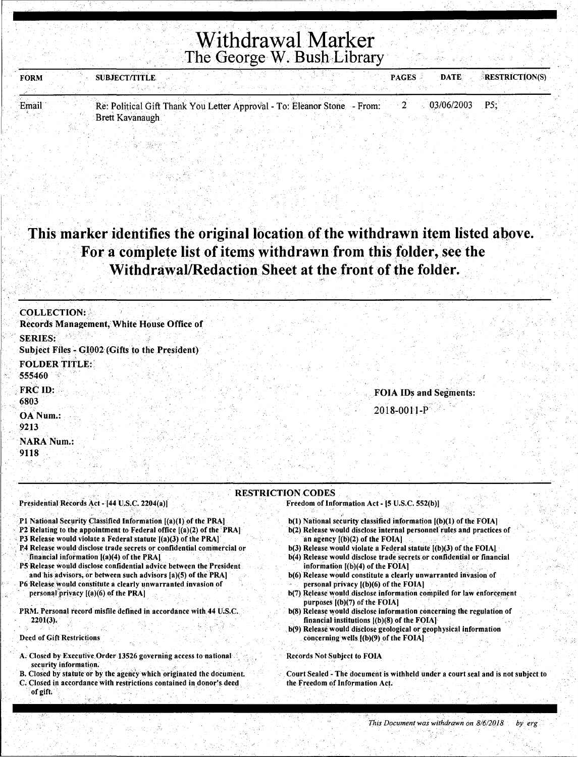## Withdrawal Marker The George W. Bush Library

|               |                      |                                                                         |                | <b>ERESTRICTION(S)</b> |
|---------------|----------------------|-------------------------------------------------------------------------|----------------|------------------------|
| <b>FORM</b>   | <b>SUBJECTATITLE</b> |                                                                         | <b>PAGES</b>   | <b>DATE</b>            |
|               |                      |                                                                         |                |                        |
|               |                      |                                                                         |                |                        |
|               |                      |                                                                         |                |                        |
|               |                      |                                                                         |                |                        |
|               |                      |                                                                         |                |                        |
|               |                      |                                                                         |                |                        |
| .<br>المخصصات |                      | ing, ngililigi Ala mbadi yadi tsahin Administrati - machiladada Chana - | <b>Control</b> | 02/06/2002<br>D.C.     |

Email Re: Political Gift Thank You Letter Approval - To: Eleanor Stone Brett Kavanaugh

## This marker identifies the original location of the withdrawn item listed above. For a complete list of items withdrawn from this folder, see the Withdrawal/Redaction Sheet at the front of the folder.

| <b>COLLECTION:</b>                             |  |  |                               |  |
|------------------------------------------------|--|--|-------------------------------|--|
| Records Management, White House Office of      |  |  |                               |  |
| <b>SERIES:</b>                                 |  |  |                               |  |
| Subject Files - G1002 (Gifts to the President) |  |  |                               |  |
| <b>FOLDER TITLE:</b><br>555460                 |  |  |                               |  |
| FRC ID:<br>6803                                |  |  | <b>FOIA IDs and Segments:</b> |  |
| OA Num.:<br>9213                               |  |  | 2018-0011-P                   |  |
| <b>NARA Num.:</b>                              |  |  |                               |  |
| 9118                                           |  |  |                               |  |

#### RESTRICTION CODES

Presidential Records Act - [44 U.S.C. 2204(a)]

P1 National Security Classified Information [(a)(1) of the PRA]

.. . ..

- P2 Relating to the appointment to Federal office [(a)(2) of the 'PRA]
- P3 Release would violate a Federal statute  $[(a)(3)$  of the PRA].
- P4 Release would disclose trade secrets or confidential commercial or financial information  $[(a)(4)$  of the PRA]
- P5 Release would disclose confidential advice between the President and his advisors, or between such advisors [a)(5) of the PRA]
- P6 Release would constitute a clearly unwarranted invasion of personal privacy  $[(a)(6)$  of the PRA]
- PRM. Personal record misfile defined in accordance with 44 U.S.C. 2201(3).

#### Deed of Gift Restrictions

- A. Closed by Executive Order 13526 governing access to national security information.
- B. Closed by statute or by the agency which originated the document. C. Closed in accordance with restrictions contained in donor's deed of gift.
- Freedom of Information Act [5 U.S.C. 552(b)]
- $b(1)$  National security classified information  $[(b)(1)$  of the FOIA]
- b(2) Release 'would disdose internal personnel' rules and practices of an agency [(b)(2) of the FOIA]
- b(3) Release would violate a Federal statute [(b)(3) of the FOIA]
- b(4) Release would disclose trade secrets or confidential or financial information  $[(b)(4)$  of the FOIA]
- b(6) Release would constitute a clearly unwarranted invasion of personal privacy [(b)(6) of the FOIA]
- b(7) Release would disclose information compiled for law enforcement purposes  $[(b)(7)$  of the FOIA]
- b(8) Release would disclose information concerning the regulation of financial institutions  $($ (b) $($ 8) of the FOIA] $\cdot$
- b(9) Release would disclose geological or geophysical information concerning wells  $[(b)(9)$  of the FOIA]

#### Records Not Subject to FOIA

Court Sealed - The document is withheld under a court seal and is not subject to the Freedom of Information Act.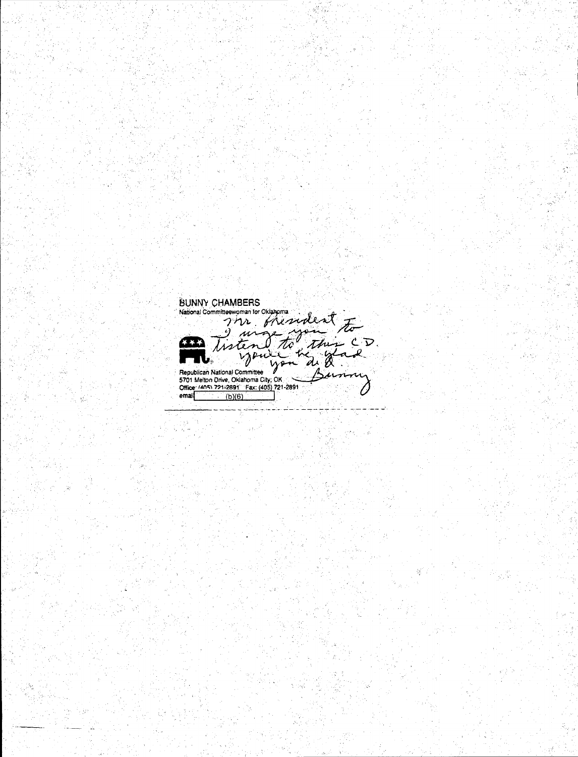**BUNNY CHAMBERS**<br>National Committeewoman for Oklahoma theowoman tor Okspone<br>I wing to these to  $\overline{A}$ you Republican National Committee<br>5701 Melton Drive, Oklahoma City, OK<br>Office: (405) 721-2891 Fax: (405) 721-2891<br>email (b)(6) f.

(331  $\tilde{Q}$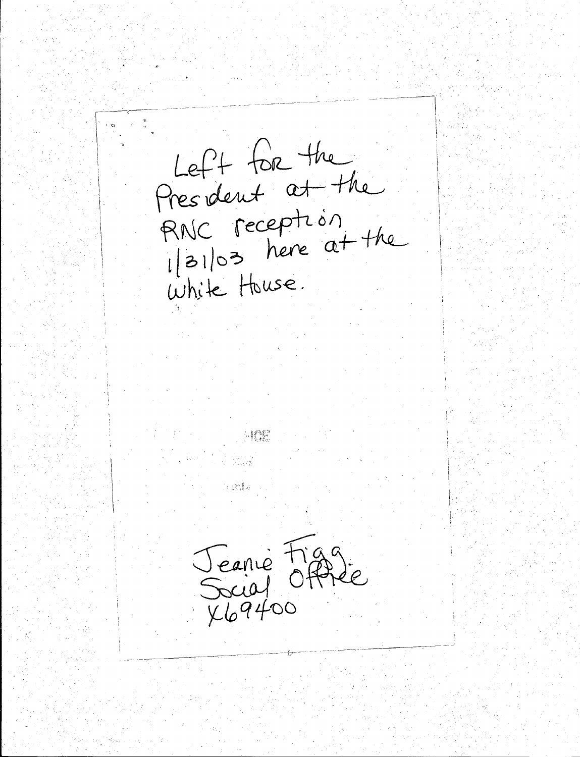Left for the President at the RNC reception  $1|31|03$  here at the White House.  $-1022$ Jeanie Figgs<br>Social Offrée